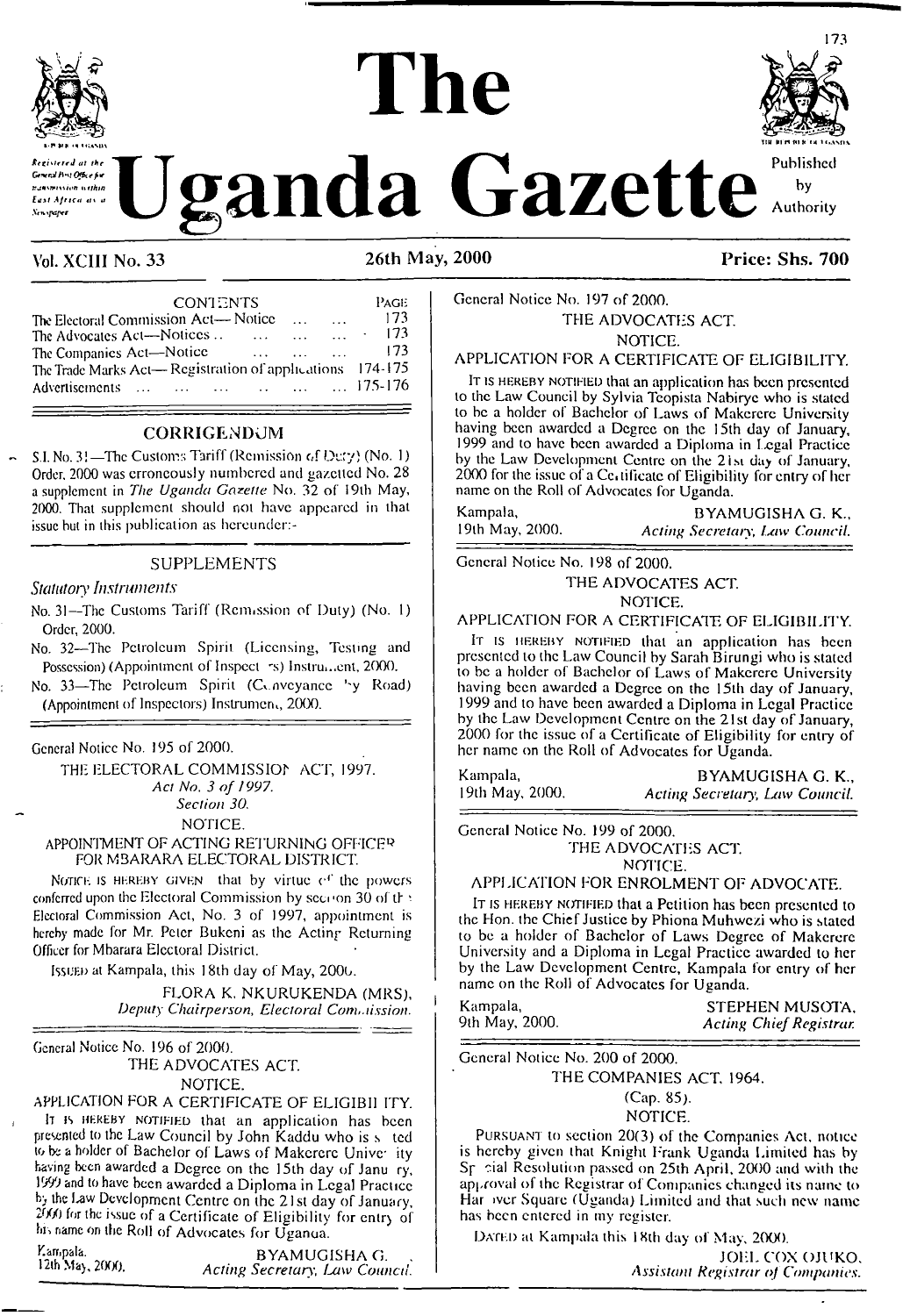

# **The**



**Kryaprove Cazette** and Gazette

## Vol. XCIII No. 33 26th May, 2000 Price: Shs. 700

| Vol. XCIII No. 33                                | $26th$ N |
|--------------------------------------------------|----------|
| <b>CONTENTS</b>                                  | Page     |
| The Electoral Commission Act-Notice              | 173      |
| The Advocates Act-Notices                        | 173      |
| The Companies Act-Notice                         | 173      |
| The Trade Marks Act-Registration of applications | 174-175  |
| Advertisements                                   | 175-176  |

#### **CORRIGExNDCJM**

S.I. No. 31—The Customs Tariff (Remission of Duxy) (No. 1) Order. 2000 was erroneously numbered and gazetted No. 28 a supplement in *The Uganda Gazette* No. 32 of <sup>1</sup>9lb May, 2000. That supplement should not have appeared in that issue but in this publication as hcreundcr:-

#### SUPPLEMENTS

#### *Statutory Instruments*

No. 31—The Customs Tariff (Remission of Duly) (No. 1) Order, 2000.

No. 32—The Petroleum Spirit (Licensing, Testing and Possession) (Appointment of Inspect rs) Instrument, 2000.

No. 33-The Petroleum Spirit (Conveyance 'v Road) (Appointment of Inspectors) Instrument, 2000.

General Notice No. 195 of 2000.

THE ELECTORAL COMMISSIOf ACT, 1997. *Act No. 3 of 1997. Section 30.* NOTICE.

#### APPOINTMENT OF ACTING RETURNING OFFICER FOR MBARARA ELECTORAL DISTRICT.

Notice is HEREBY GIVEN that by virtue  $e<sup>c</sup>$  the powers conferred upon the Electoral Commission by section 30 of the Electoral Commission Act, No. 3 of 1997, appointment is hereby made for Mr. Peter Bukeni as the Acting Returning Officer for Mbarara Electoral District.

Issuen at Kampala, this 18th day of May, 2000.

FLORA K. NKURUKENDA (MRS), *Deputy Chairperson, Electoral Commission.*

General Notice No. 196 of 2000. THE ADVOCATES ACT. NOTICE.

APPLICATION FOR A CERTIFICATE OF ELIGIBI1 ITY. <sup>I</sup><sup>t</sup> is hereby notified that an application has been presented to the Law Council by John Kaddu who is s ted to be <sup>a</sup> holder of Bachelor of Laws of Makerere Univc ity having been awarded a Degree on the 15th day of Janu ry, 1999 and to have been awarded a Diploma in Legal Practice by the Law Development Centre on the 21st day of January, 2VX) for the issue of a Certificate of Eligibility for entry of his name on the Roll of Advocates for Uganua.

Examplia. BYAMUGISHA G.<br>12th May, 2000. Acting Secretary: Law Coun Iztn May, 2fXX). *Acting Secretary', Law Conned.*

#### General Notice No. 197 of 2000. THE ADVOCATES ACT. NOTICE.

#### APPLICATION FOR A CERTIFICATE OF ELIGIBILITY.

IT is HEREBY NOTIFIED that an application has been presented to the Law Council by Sylvia Tcopista Nabiryc who is stated to be a holder of Bachelor of Laws of Makcrcrc University having been awarded a Degree on the 15th day of January, 1999 and to have been awarded a Diploma in Legal Practice by the Law Development Centre on the 21.st day of January, 2000 for the issue of a Ccaificatc of Eligibility for entry of her name on the Roll of Advocates for Uganda.

Kampala, BYAMUGISHA G. K., Regisland BYAMUGISHA G. K., BYAMUGISHA G. K., 19th May, 2000. *Acting Secretary, Law Council.*

General Notice No. 198 of 2000.

THE ADVOCATES ACT.

NOTICE.

#### APPLICATION FOR A CERTIFICATE OF ELIGIBILITY.

It is HEREBY NOTIFIED that an application has been presented to the Law Council by Sarah Birungi who is stated to be a holder of Bachelor of Laws of Makerere University having been awarded a Degree on the 15th day of January, 1999 and to have been awarded a Diploma in Legal Practice by the Law Development Centre on the 21st day of January, 2000 for the issue of a Certificate of Eligibility for entry of her name on the Roll of Advocates for Uganda.

Kampala, BYAMUGISHA G. K., BYAMUGISHA G. K., 19th May, 2000. 19th May, 2000. *Acting Secretary, Law Council.*

General Notice No. 199 of 2000. THE ADVOCATES ACT. NOTICE.

#### APPLICATION FOR ENROLMENT OF ADVOCATE.

It is hereby notified that a Petition has been presented to the Hon. the Chief Justice by Phiona Muhwezi who is stated to be a holder of Bachelor of Laws Degree of Makerere University and a Diploma in Legal Practice awarded to her by the Law Development Centre, Kampala for entry of her name on the Roll of Advocates for Uganda.

Kampala, STEPHEN MUSOTA, Kampala, STEPHEN MUSOTA, 9lh May, 2000. *Acting ChiefRegistrar.*

General Notice No. 200 of 2000.

THE COMPANIES ACT, 1964.

(Cap. 85).

#### NOTICE.

Pursuant to section 20(3) of the Companies Act, notice is hereby given that Knight Frank Uganda Limited has by Sr sial Resolution passed on 25th April, 2000 and with the approval of the Registrar of Companies changed its name to Har iver Square (Uganda) Limited and that such new name has been entered in my register.

DATED at Kampala this 18th day of May, 2000.

JOEL COX OJUKO, *Assistant Registrar of Companies.*

 $\ddot{\phantom{0}}$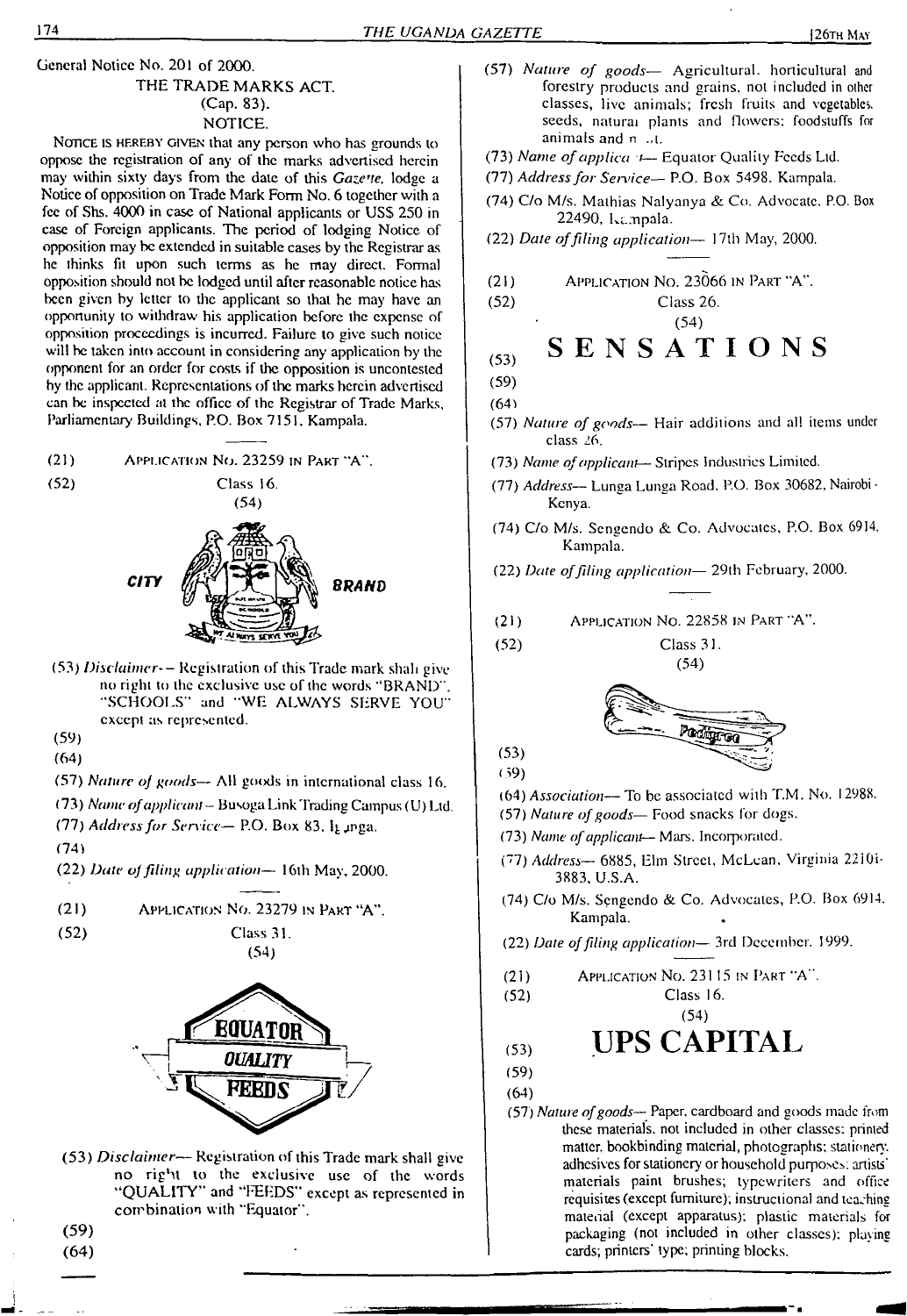## THE TRADE MARKS ACT (Cap. 83). NOTICE.

Notice is HEREBY GIVEN that any person who has grounds to oppose the registration of any of the marks advertised herein may within sixty days from the date of this *GazeT!e,* lodge a Notice of opposition on Trade Mark Form No. 6 together with a fee of Shs. 4000 in case of National applicants or USS 250 in case of Foreign applicants. The period of lodging Notice of opposition may be extended in suitable cases by the Registrar as he thinks fit upon such terms as he may direct. Formal opposition should not be lodged until after reasonable notice has been given by letter to the applicant so that he may have an opportunity to withdraw his application before the expense of opposition proceedings is incurred. Failure to give such notice will be taken into account in considering any application by the opponent for an order for costs if the opposition is uncontested by the applicant. Representations of the marks herein advertised can be inspected al the office of the Registrar of Trade Marks, Parliamentary Buildings, RO. Box 7151. Kampala.

 $(21)$ APPLICATION NO. 23259 IN PART "A".



Class 16.



(53) *Disclaimer--* Registration of this Trade mark shah give no right to the exclusive use of the words ''BRAND". 'SCHOOLS" and "WE ALWAYS SERVE YOU" except as represented.

(59)

(64)

(57) *Nature of goods—* AH goods in international class 16.

(73) *Name ofapplicant—* Busoga Link Trading Campus (U) Ltd. (77) *Addressfor Service—* RO. Box 83. Igjmga.

(74)

- (22) *Date oJ filing application—* <sup>1</sup>6lh May, 2000.
- (21) Application No. 23279 in Part "A".
- (52) Class 31.





(53) *Disclaimer—* Registration of this Trade mark shall give no right to the exclusive use of the words "QUALITY" and "FEEDS" except as represented in combination with "Equator".

(59) (64)

- (57) *Nature of goods—* Agricultural, horticultural and forestry products and grains, not included in other classes, live animals; fresh fruits and vegetables, seeds, natural plants and flowers: foodstuffs for animals and n .,t.
- (73) *Name ofapplica <sup>t</sup>—* Equator Quality Feeds Ltd.
- (77) *Addressfor Service—* P.O. Box 5498. Kampala.
- (74) C/o M/s. Mathias Nalyanya & Co. Advocate. P.O. Box 22490, Kampala.
- (22) *Date offiling application—* 17th May, 2000.
- $(21)$  Application No. 23066 in Part "A".

(52) Class 26.

# **(53) SENSATIONS**

(54)

- (59)
- (64)
- (57) *Nature of goods—* Hair additions and all items under class 26.
- (73) *Name ofapplicant* Stripes Industries Limited.
- (77) *Address—* Lunga Lunga Road, P.O. Box 30682, Nairobi Kenya.
- (74) C/o M/s. Sengendo &. Co. Advocates, P.O. Box 6914, Kampala.
- (22) *Date offding application—* 29th February, 2000.
- (21) Application No. 22858 in Part "A".

(52) Class 31.

 $(54)$ 

Product

- (64) *Association—*To be associated with T.M. No. 12988.
- (57) *Nature ofgoods—* Food snacks for dogs.
- (73) *Name ofapplicant—* Mars. Incorporated.
- ("7) *Address—* 6885, Elm Street, McLean. Virginia 22iOi-3883, U.S.A.
- (74) C/o M/s. Sengendo & Co. Advocates, P.O. Box 6914. Kampala.
- (22) *Dale offling application—* 3rd December. 1999.
- (21) Application No. 23115 in Part "A".
- (52) Class 16.

(54)

# (53) **UPS CAPITAL**

(59)

(53) (59)

- (64)
- (57) *Nature ofgoods—* Paper, cardboard and goods made from these materials, not included in other classes: printed matter, bookbinding material, photographs; stationery, adhesives for stationery or household purposes; artists' materials paint brushes; typewriters and office requisites (except furniture); instructional and teaching material (except apparatus); plastic materials for packaging (not included in other classes): playing cards; printers' type; printing blocks.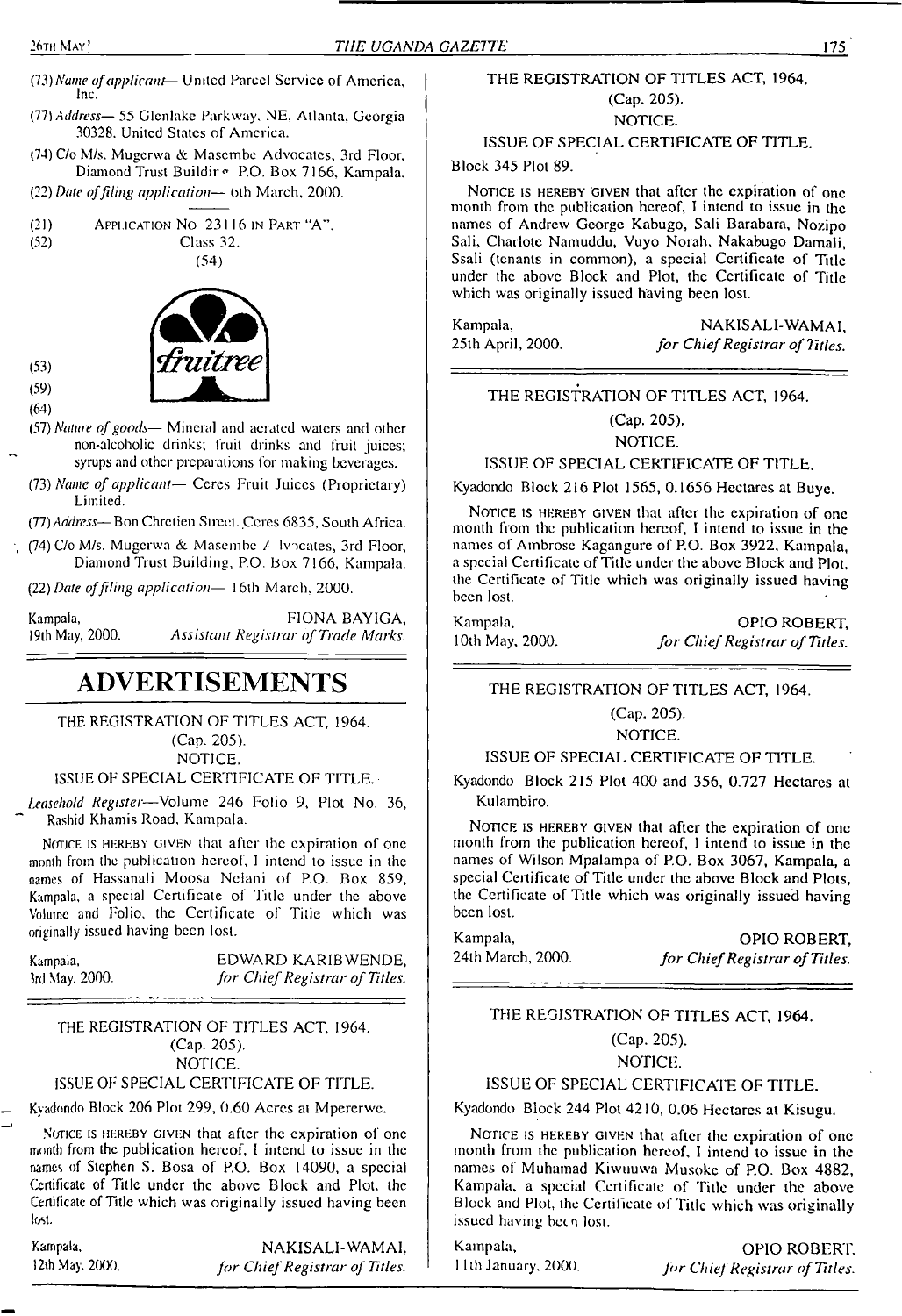- (73) *Name ofapplicant-* United Parcel Service of America, Inc.
- *{Th Address—* 55 Glcnlakc Parkway. NE. Atlanta, Georgia 30328. United States of America.
- (74) C/o M/s. Mugerwa & Masembe Advocates, 3rd Floor, Diamond Trust Buildir <sup>o</sup> P.O. Box 7166, Kampala.
- (32) *Date offiling application—* bth March, 2000.

(21) **APPLLCATION NO** 23116 IN PART "A".  
\n
$$
(52)
$$
 Class 32.





(53) (59)

- (64)
- (57) *Nature ofgoods—* Mineral and aerated waters and other non-alcoholic drinks; fruit drinks and fruit juices; syrups and other preparations for making beverages.
- (73) *Name of applicant—* Cores Fruit Juices (Proprietary) Limited.
- (77) *Address* Bon Chretien Street. Ceres 6835, South Africa.
- $(74)$  C/o M/s. Mugerwa & Masembe  $\ell$  Ivocates, 3rd Floor, Diamond Trust Building, P.O. Box 7166, Kampala.

(22) *Dale offiling application—* 16th March, 2000.

| Kampala,        | FIONA BAYIGA,                       |
|-----------------|-------------------------------------|
| 19th May, 2000. | Assistant Registrar of Trade Marks. |

# **ADVERTISEMENTS**

THE REGISTRATION OF TITLES ACT, 1964.

(Cap. 205). NOTICE.

#### ISSUE OF SPECIAL CERTIFICATE OF TITLE.

*Leasehold Register*—Volume 246 Folio 9, Plot No. 36, Rashid Khamis Road, Kampala.

Notice is HEREBY GIVEN that after the expiration of one month from the publication hereof, <sup>I</sup> intend to issue in the names of Hassanali Moosa Nclani of P.O. Box 859, Kampala, a special Certificate of Title under the above Volume and Folio, the Certificate of Title which was originally issued having been lost.

| Kampala,       | EDWARD KARIBWENDE             |
|----------------|-------------------------------|
| 3rd May, 2000. | for Chief Registrar of Titles |

#### THE REGISTRATION OF TITLES ACT, 1964. (Cap. 205). NOTICE.

#### ISSUE OF' SPECIAL CERTIFICATE OF TITLE.

Kyadondo Block 206 Plot 299, 0.60 Acres al Mpererwe.

NOTICE IS HEREBY GIVEN that after the expiration of one month from the publication hereof, I intend to issue in the names of Stephen S. Bosa of P.O. Box 14090, a special Certificate of Title under the above Block and Plot, the Certificate of Title which was originally issued having been lost-

Kampala, 12th.May, 2000.

NAKISALI-WAMAI, *for ChiefRegistrar of Titles.*

# THE REGISTRATION OF TITLES ACT, 1964. (Cap. 205).

NOTICE.

#### ISSUE OF SPECIAL CERTIFICATE OF TITLE.

Block 345 Plot 89.

NOTICE IS HEREBY GIVEN that after the expiration of one month from the publication hereof, I intend to issue in the names of Andrew George Kabugo, Sali Barabara, Nozipo Sali, Charlote Namuddu, Vuyo Norah, Nakabugo Damali, Ssali (tenants in common), a special Certificate of Title under the above Block and Plot, the Certificate of Title which was originally issued having been lost.

Kampala, NAKISALI-WAMAI, 25th April, 2000. *for Chief Registrar of Titles.* 25th April, 2000. *for ChiefRegistrar of Titles.*

THE REGISTRATION OF TITLES ACT, 1964.

(Cap. 205).

NOTICE.

ISSUE OF SPECIAL CERTIFICATE OF TITLE.

Kyadondo Block 216 Plot 1565, 0.1656 Hectares at Buye.

NOTICE IS HEREBY GIVEN that after the expiration of one month from the publication hereof, I intend to issue in the names of Ambrose Kagangure of P.O. Box 3922, Kampala, a special Certificate of Title under the above Block and Plot, the Certificate of Title which was originally issued having been lost.

| Kampala,        | <b>OPIO ROBERT</b>             |
|-----------------|--------------------------------|
| 10th May, 2000. | for Chief Registrar of Titles. |

THE REGISTRATION OF TITLES ACT, 1964.

(Cap. 205).

NOTICE.

ISSUE OF SPECIAL CERTIFICATE OF TITLE.

Kyadondo Block 215 Plot 400 and 356, 0.727 Hectares al Kulambiro.

NOTICE IS HEREBY GIVEN that after the expiration of one month from the publication hereof, I intend to issue in the names of Wilson Mpalampa of P.O. Box 3067, Kampala, a special Certificate of Title under the above Block and Plots, the Certificate of Title which was originally issued having been lost.

Kampala, CPIO ROBERT, CALC ROBERT, 24th March, 2000. 24th March, 2000. *for ChiefRegistrar ofTitles.*

#### THE REGISTRATION OF TITLES ACT, 1964.

(Cap. 205).

#### NOTICE.

#### ISSUE OF SPECIAL CERTIFICATE OF TITLE.

Kyadondo Block 244 Plot 4210, 0.06 Hectares at Kisugu.

NOTICE IS HEREBY GIVEN that after the expiration of one month from the publication hereof, I intend io issue in the names of Muhamad Kiwuuwa Musokc of P.O. Box 4882, Kampala, a special Certificate of Title under the above Block and Plot, the Certificate of Title which was originally issued having been lost.

Kampala, **OPIO ROBERT,**<br>11th January, 2000. *for Chief Registrar of Titles*. <sup>1</sup> <sup>1</sup> th January. 2000. *for ChiefRegistrar of Titles.*